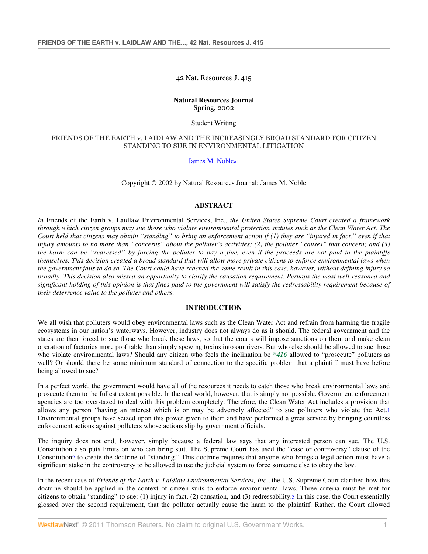42 Nat. Resources J. 415

# **Natural Resources Journal**  Spring, 2002

Student Writing

# FRIENDS OF THE EARTH v. LAIDLAW AND THE INCREASINGLY BROAD STANDARD FOR CITIZEN STANDING TO SUE IN ENVIRONMENTAL LITIGATION

James M. Noblea1

Copyright © 2002 by Natural Resources Journal; James M. Noble

### **ABSTRACT**

*In* Friends of the Earth v. Laidlaw Environmental Services, Inc., *the United States Supreme Court created a framework through which citizen groups may sue those who violate environmental protection statutes such as the Clean Water Act. The Court held that citizens may obtain "standing" to bring an enforcement action if (1) they are "injured in fact," even if that injury amounts to no more than "concerns" about the polluter's activities; (2) the polluter "causes" that concern; and (3) the harm can be "redressed" by forcing the polluter to pay a fine, even if the proceeds are not paid to the plaintiffs themselves. This decision created a broad standard that will allow more private citizens to enforce environmental laws when the government fails to do so. The Court could have reached the same result in this case, however, without defining injury so broadly. This decision also missed an opportunity to clarify the causation requirement. Perhaps the most well-reasoned and significant holding of this opinion is that fines paid to the government will satisfy the redressability requirement because of their deterrence value to the polluter and others*.

# **INTRODUCTION**

We all wish that polluters would obey environmental laws such as the Clean Water Act and refrain from harming the fragile ecosystems in our nation's waterways. However, industry does not always do as it should. The federal government and the states are then forced to sue those who break these laws, so that the courts will impose sanctions on them and make clean operation of factories more profitable than simply spewing toxins into our rivers. But who else should be allowed to sue those who violate environmental laws? Should any citizen who feels the inclination be *\*416* allowed to "prosecute" polluters as well? Or should there be some minimum standard of connection to the specific problem that a plaintiff must have before being allowed to sue?

In a perfect world, the government would have all of the resources it needs to catch those who break environmental laws and prosecute them to the fullest extent possible. In the real world, however, that is simply not possible. Government enforcement agencies are too over-taxed to deal with this problem completely. Therefore, the Clean Water Act includes a provision that allows any person "having an interest which is or may be adversely affected" to sue polluters who violate the Act.1 Environmental groups have seized upon this power given to them and have performed a great service by bringing countless enforcement actions against polluters whose actions slip by government officials.

The inquiry does not end, however, simply because a federal law says that any interested person can sue. The U.S. Constitution also puts limits on who can bring suit. The Supreme Court has used the "case or controversy" clause of the Constitution2 to create the doctrine of "standing." This doctrine requires that anyone who brings a legal action must have a significant stake in the controversy to be allowed to use the judicial system to force someone else to obey the law.

In the recent case of *Friends of the Earth v. Laidlaw Environmental Services, Inc.*, the U.S. Supreme Court clarified how this doctrine should be applied in the context of citizen suits to enforce environmental laws. Three criteria must be met for citizens to obtain "standing" to sue: (1) injury in fact, (2) causation, and (3) redressability.3 In this case, the Court essentially glossed over the second requirement, that the polluter actually cause the harm to the plaintiff. Rather, the Court allowed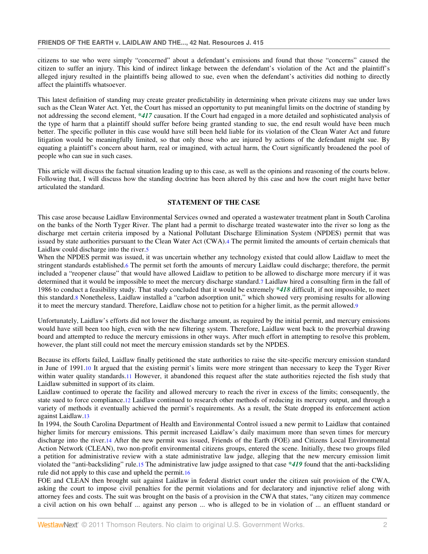citizens to sue who were simply "concerned" about a defendant's emissions and found that those "concerns" caused the citizen to suffer an injury. This kind of indirect linkage between the defendant's violation of the Act and the plaintiff's alleged injury resulted in the plaintiffs being allowed to sue, even when the defendant's activities did nothing to directly affect the plaintiffs whatsoever.

This latest definition of standing may create greater predictability in determining when private citizens may sue under laws such as the Clean Water Act. Yet, the Court has missed an opportunity to put meaningful limits on the doctrine of standing by not addressing the second element, *\*417* causation. If the Court had engaged in a more detailed and sophisticated analysis of the type of harm that a plaintiff should suffer before being granted standing to sue, the end result would have been much better. The specific polluter in this case would have still been held liable for its violation of the Clean Water Act and future litigation would be meaningfully limited, so that only those who are injured by actions of the defendant might sue. By equating a plaintiff's concern about harm, real or imagined, with actual harm, the Court significantly broadened the pool of people who can sue in such cases.

This article will discuss the factual situation leading up to this case, as well as the opinions and reasoning of the courts below. Following that, I will discuss how the standing doctrine has been altered by this case and how the court might have better articulated the standard.

## **STATEMENT OF THE CASE**

This case arose because Laidlaw Environmental Services owned and operated a wastewater treatment plant in South Carolina on the banks of the North Tyger River. The plant had a permit to discharge treated wastewater into the river so long as the discharge met certain criteria imposed by a National Pollutant Discharge Elimination System (NPDES) permit that was issued by state authorities pursuant to the Clean Water Act (CWA).4 The permit limited the amounts of certain chemicals that Laidlaw could discharge into the river.5

When the NPDES permit was issued, it was uncertain whether any technology existed that could allow Laidlaw to meet the stringent standards established.6 The permit set forth the amounts of mercury Laidlaw could discharge; therefore, the permit included a "reopener clause" that would have allowed Laidlaw to petition to be allowed to discharge more mercury if it was determined that it would be impossible to meet the mercury discharge standard.7 Laidlaw hired a consulting firm in the fall of 1986 to conduct a feasibility study. That study concluded that it would be extremely *\*418* difficult, if not impossible, to meet this standard.8 Nonetheless, Laidlaw installed a "carbon adsorption unit," which showed very promising results for allowing it to meet the mercury standard. Therefore, Laidlaw chose not to petition for a higher limit, as the permit allowed.9

Unfortunately, Laidlaw's efforts did not lower the discharge amount, as required by the initial permit, and mercury emissions would have still been too high, even with the new filtering system. Therefore, Laidlaw went back to the proverbial drawing board and attempted to reduce the mercury emissions in other ways. After much effort in attempting to resolve this problem, however, the plant still could not meet the mercury emission standards set by the NPDES.

Because its efforts failed, Laidlaw finally petitioned the state authorities to raise the site-specific mercury emission standard in June of 1991.10 It argued that the existing permit's limits were more stringent than necessary to keep the Tyger River within water quality standards.11 However, it abandoned this request after the state authorities rejected the fish study that Laidlaw submitted in support of its claim.

Laidlaw continued to operate the facility and allowed mercury to reach the river in excess of the limits; consequently, the state sued to force compliance.12 Laidlaw continued to research other methods of reducing its mercury output, and through a variety of methods it eventually achieved the permit's requirements. As a result, the State dropped its enforcement action against Laidlaw.13

In 1994, the South Carolina Department of Health and Environmental Control issued a new permit to Laidlaw that contained higher limits for mercury emissions. This permit increased Laidlaw's daily maximum more than seven times for mercury discharge into the river.14 After the new permit was issued, Friends of the Earth (FOE) and Citizens Local Environmental Action Network (CLEAN), two non-profit environmental citizens groups, entered the scene. Initially, these two groups filed a petition for administrative review with a state administrative law judge, alleging that the new mercury emission limit violated the "anti-backsliding" rule.15 The administrative law judge assigned to that case *\*419* found that the anti-backsliding rule did not apply to this case and upheld the permit.16

FOE and CLEAN then brought suit against Laidlaw in federal district court under the citizen suit provision of the CWA, asking the court to impose civil penalties for the permit violations and for declaratory and injunctive relief along with attorney fees and costs. The suit was brought on the basis of a provision in the CWA that states, "any citizen may commence a civil action on his own behalf ... against any person ... who is alleged to be in violation of ... an effluent standard or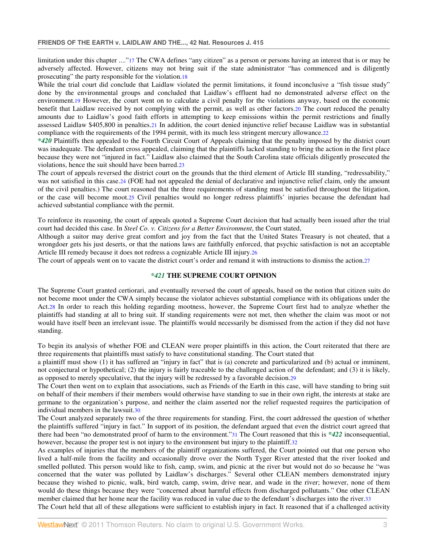limitation under this chapter ...."<sup>17</sup> The CWA defines "any citizen" as a person or persons having an interest that is or may be adversely affected. However, citizens may not bring suit if the state administrator "has commenced and is diligently prosecuting" the party responsible for the violation.18

While the trial court did conclude that Laidlaw violated the permit limitations, it found inconclusive a "fish tissue study" done by the environmental groups and concluded that Laidlaw's effluent had no demonstrated adverse effect on the environment.19 However, the court went on to calculate a civil penalty for the violations anyway, based on the economic benefit that Laidlaw received by not complying with the permit, as well as other factors.20 The court reduced the penalty amounts due to Laidlaw's good faith efforts in attempting to keep emissions within the permit restrictions and finally assessed Laidlaw \$405,800 in penalties.21 In addition, the court denied injunctive relief because Laidlaw was in substantial compliance with the requirements of the 1994 permit, with its much less stringent mercury allowance.22

*\*420* Plaintiffs then appealed to the Fourth Circuit Court of Appeals claiming that the penalty imposed by the district court was inadequate. The defendant cross appealed, claiming that the plaintiffs lacked standing to bring the action in the first place because they were not "injured in fact." Laidlaw also claimed that the South Carolina state officials diligently prosecuted the violations, hence the suit should have been barred.23

The court of appeals reversed the district court on the grounds that the third element of Article III standing, "redressability," was not satisfied in this case.24 (FOE had not appealed the denial of declarative and injunctive relief claim, only the amount of the civil penalties.) The court reasoned that the three requirements of standing must be satisfied throughout the litigation, or the case will become moot.25 Civil penalties would no longer redress plaintiffs' injuries because the defendant had achieved substantial compliance with the permit.

To reinforce its reasoning, the court of appeals quoted a Supreme Court decision that had actually been issued after the trial court had decided this case. In *Steel Co. v. Citizens for a Better Environment*, the Court stated,

Although a suitor may derive great comfort and joy from the fact that the United States Treasury is not cheated, that a wrongdoer gets his just deserts, or that the nations laws are faithfully enforced, that psychic satisfaction is not an acceptable Article III remedy because it does not redress a cognizable Article III injury.26

The court of appeals went on to vacate the district court's order and remand it with instructions to dismiss the action.27

# *\*421* **THE SUPREME COURT OPINION**

The Supreme Court granted certiorari, and eventually reversed the court of appeals, based on the notion that citizen suits do not become moot under the CWA simply because the violator achieves substantial compliance with its obligations under the Act.28 In order to reach this holding regarding mootness, however, the Supreme Court first had to analyze whether the plaintiffs had standing at all to bring suit. If standing requirements were not met, then whether the claim was moot or not would have itself been an irrelevant issue. The plaintiffs would necessarily be dismissed from the action if they did not have standing.

To begin its analysis of whether FOE and CLEAN were proper plaintiffs in this action, the Court reiterated that there are three requirements that plaintiffs must satisfy to have constitutional standing. The Court stated that

a plaintiff must show (1) it has suffered an "injury in fact" that is (a) concrete and particularized and (b) actual or imminent, not conjectural or hypothetical; (2) the injury is fairly traceable to the challenged action of the defendant; and (3) it is likely, as opposed to merely speculative, that the injury will be redressed by a favorable decision.29

The Court then went on to explain that associations, such as Friends of the Earth in this case, will have standing to bring suit on behalf of their members if their members would otherwise have standing to sue in their own right, the interests at stake are germane to the organization's purpose, and neither the claim asserted nor the relief requested requires the participation of individual members in the lawsuit.30

The Court analyzed separately two of the three requirements for standing. First, the court addressed the question of whether the plaintiffs suffered "injury in fact." In support of its position, the defendant argued that even the district court agreed that there had been "no demonstrated proof of harm to the environment."31 The Court reasoned that this is *\*422* inconsequential, however, because the proper test is not injury to the environment but injury to the plaintiff.32

As examples of injuries that the members of the plaintiff organizations suffered, the Court pointed out that one person who lived a half-mile from the facility and occasionally drove over the North Tyger River attested that the river looked and smelled polluted. This person would like to fish, camp, swim, and picnic at the river but would not do so because he "was concerned that the water was polluted by Laidlaw's discharges." Several other CLEAN members demonstrated injury because they wished to picnic, walk, bird watch, camp, swim, drive near, and wade in the river; however, none of them would do these things because they were "concerned about harmful effects from discharged pollutants." One other CLEAN member claimed that her home near the facility was reduced in value due to the defendant's discharges into the river.33

The Court held that all of these allegations were sufficient to establish injury in fact. It reasoned that if a challenged activity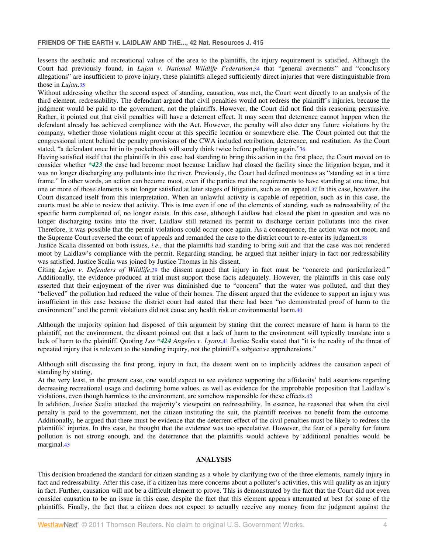lessens the aesthetic and recreational values of the area to the plaintiffs, the injury requirement is satisfied. Although the Court had previously found, in *Lujan v. National Wildlife Federation*,34 that "general averments" and "conclusory allegations" are insufficient to prove injury, these plaintiffs alleged sufficiently direct injuries that were distinguishable from those in *Lujan*.35

Without addressing whether the second aspect of standing, causation, was met, the Court went directly to an analysis of the third element, redressability. The defendant argued that civil penalties would not redress the plaintiff's injuries, because the judgment would be paid to the government, not the plaintiffs. However, the Court did not find this reasoning persuasive. Rather, it pointed out that civil penalties will have a deterrent effect. It may seem that deterrence cannot happen when the defendant already has achieved compliance with the Act. However, the penalty will also deter any future violations by the company, whether those violations might occur at this specific location or somewhere else. The Court pointed out that the congressional intent behind the penalty provisions of the CWA included retribution, deterrence, and restitution. As the Court stated, "a defendant once hit in its pocketbook will surely think twice before polluting again."36

Having satisfied itself that the plaintiffs in this case had standing to bring this action in the first place, the Court moved on to consider whether *\*423* the case had become moot because Laidlaw had closed the facility since the litigation began, and it was no longer discharging any pollutants into the river. Previously, the Court had defined mootness as "standing set in a time frame." In other words, an action can become moot, even if the parties met the requirements to have standing at one time, but one or more of those elements is no longer satisfied at later stages of litigation, such as on appeal.37 In this case, however, the Court distanced itself from this interpretation. When an unlawful activity is capable of repetition, such as in this case, the courts must be able to review that activity. This is true even if one of the elements of standing, such as redressability of the specific harm complained of, no longer exists. In this case, although Laidlaw had closed the plant in question and was no longer discharging toxins into the river, Laidlaw still retained its permit to discharge certain pollutants into the river. Therefore, it was possible that the permit violations could occur once again. As a consequence, the action was not moot, and the Supreme Court reversed the court of appeals and remanded the case to the district court to re-enter its judgment.38

Justice Scalia dissented on both issues, *i.e.*, that the plaintiffs had standing to bring suit and that the case was not rendered moot by Laidlaw's compliance with the permit. Regarding standing, he argued that neither injury in fact nor redressability was satisfied. Justice Scalia was joined by Justice Thomas in his dissent.

Citing *Lujan v. Defenders of Wildlife*,39 the dissent argued that injury in fact must be "concrete and particularized." Additionally, the evidence produced at trial must support those facts adequately. However, the plaintiffs in this case only asserted that their enjoyment of the river was diminished due to "concern" that the water was polluted, and that they "believed" the pollution had reduced the value of their homes. The dissent argued that the evidence to support an injury was insufficient in this case because the district court had stated that there had been "no demonstrated proof of harm to the environment" and the permit violations did not cause any health risk or environmental harm.40

Although the majority opinion had disposed of this argument by stating that the correct measure of harm is harm to the plaintiff, not the environment, the dissent pointed out that a lack of harm to the environment will typically translate into a lack of harm to the plaintiff. Quoting *Los \*424 Angeles v. Lyons*,41 Justice Scalia stated that "it is the reality of the threat of repeated injury that is relevant to the standing inquiry, not the plaintiff's subjective apprehensions."

Although still discussing the first prong, injury in fact, the dissent went on to implicitly address the causation aspect of standing by stating,

At the very least, in the present case, one would expect to see evidence supporting the affidavits' bald assertions regarding decreasing recreational usage and declining home values, as well as evidence for the improbable proposition that Laidlaw's violations, even though harmless to the environment, are somehow responsible for these effects.42

In addition, Justice Scalia attacked the majority's viewpoint on redressability. In essence, he reasoned that when the civil penalty is paid to the government, not the citizen instituting the suit, the plaintiff receives no benefit from the outcome. Additionally, he argued that there must be evidence that the deterrent effect of the civil penalties must be likely to redress the plaintiffs' injuries. In this case, he thought that the evidence was too speculative. However, the fear of a penalty for future pollution is not strong enough, and the deterrence that the plaintiffs would achieve by additional penalties would be marginal.43

### **ANALYSIS**

This decision broadened the standard for citizen standing as a whole by clarifying two of the three elements, namely injury in fact and redressability. After this case, if a citizen has mere concerns about a polluter's activities, this will qualify as an injury in fact. Further, causation will not be a difficult element to prove. This is demonstrated by the fact that the Court did not even consider causation to be an issue in this case, despite the fact that this element appears attenuated at best for some of the plaintiffs. Finally, the fact that a citizen does not expect to actually receive any money from the judgment against the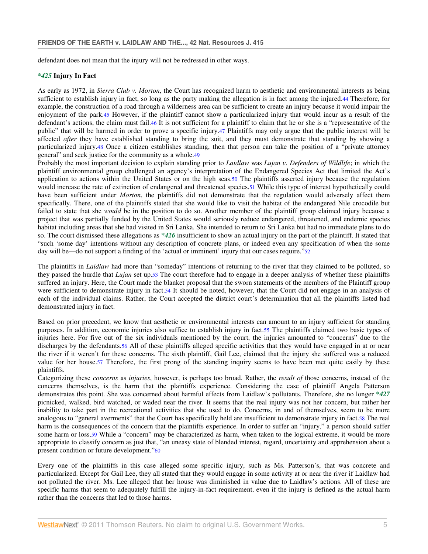defendant does not mean that the injury will not be redressed in other ways.

#### *\*425* **Injury In Fact**

As early as 1972, in *Sierra Club v. Morton*, the Court has recognized harm to aesthetic and environmental interests as being sufficient to establish injury in fact, so long as the party making the allegation is in fact among the injured.44 Therefore, for example, the construction of a road through a wilderness area can be sufficient to create an injury because it would impair the enjoyment of the park.45 However, if the plaintiff cannot show a particularized injury that would incur as a result of the defendant's actions, the claim must fail.46 It is not sufficient for a plaintiff to claim that he or she is a "representative of the public" that will be harmed in order to prove a specific injury.47 Plaintiffs may only argue that the public interest will be affected *after* they have established standing to bring the suit, and they must demonstrate that standing by showing a particularized injury.48 Once a citizen establishes standing, then that person can take the position of a "private attorney general" and seek justice for the community as a whole.49

Probably the most important decision to explain standing prior to *Laidlaw* was *Lujan v. Defenders of Wildlife*; in which the plaintiff environmental group challenged an agency's interpretation of the Endangered Species Act that limited the Act's application to actions within the United States or on the high seas.50 The plaintiffs asserted injury because the regulation would increase the rate of extinction of endangered and threatened species.51 While this type of interest hypothetically could have been sufficient under *Morton*, the plaintiffs did not demonstrate that the regulation would adversely affect them specifically. There, one of the plaintiffs stated that she would like to visit the habitat of the endangered Nile crocodile but failed to state that she *would* be in the position to do so. Another member of the plaintiff group claimed injury because a project that was partially funded by the United States would seriously reduce endangered, threatened, and endemic species habitat including areas that she had visited in Sri Lanka. She intended to return to Sri Lanka but had no immediate plans to do so. The court dismissed these allegations as *\*426* insufficient to show an actual injury on the part of the plaintiff. It stated that "such 'some day' intentions without any description of concrete plans, or indeed even any specification of when the some day will be—do not support a finding of the 'actual or imminent' injury that our cases require."52

The plaintiffs in *Laidlaw* had more than "someday" intentions of returning to the river that they claimed to be polluted, so they passed the hurdle that *Lujan* set up.53 The court therefore had to engage in a deeper analysis of whether these plaintiffs suffered an injury. Here, the Court made the blanket proposal that the sworn statements of the members of the Plaintiff group were sufficient to demonstrate injury in fact.54 It should be noted, however, that the Court did not engage in an analysis of each of the individual claims. Rather, the Court accepted the district court's determination that all the plaintiffs listed had demonstrated injury in fact.

Based on prior precedent, we know that aesthetic or environmental interests can amount to an injury sufficient for standing purposes. In addition, economic injuries also suffice to establish injury in fact.55 The plaintiffs claimed two basic types of injuries here. For five out of the six individuals mentioned by the court, the injuries amounted to "concerns" due to the discharges by the defendants.56 All of these plaintiffs alleged specific activities that they would have engaged in at or near the river if it weren't for these concerns. The sixth plaintiff, Gail Lee, claimed that the injury she suffered was a reduced value for her house.57 Therefore, the first prong of the standing inquiry seems to have been met quite easily by these plaintiffs.

Categorizing these *concerns* as *injuries*, however, is perhaps too broad. Rather, the *result of* those concerns, instead of the concerns themselves, is the harm that the plaintiffs experience. Considering the case of plaintiff Angela Patterson demonstrates this point. She was concerned about harmful effects from Laidlaw's pollutants. Therefore, she no longer *\*427* picnicked, walked, bird watched, or waded near the river. It seems that the real injury was not her concern, but rather her inability to take part in the recreational activities that she used to do. Concerns, in and of themselves, seem to be more analogous to "general averments" that the Court has specifically held are insufficient to demonstrate injury in fact.58 The real harm is the consequences of the concern that the plaintiffs experience. In order to suffer an "injury," a person should suffer some harm or loss.59 While a "concern" may be characterized as harm, when taken to the logical extreme, it would be more appropriate to classify concern as just that, "an uneasy state of blended interest, regard, uncertainty and apprehension about a present condition or future development."60

Every one of the plaintiffs in this case alleged some specific injury, such as Ms. Patterson's, that was concrete and particularized. Except for Gail Lee, they all stated that they would engage in some activity at or near the river if Laidlaw had not polluted the river. Ms. Lee alleged that her house was diminished in value due to Laidlaw's actions. All of these are specific harms that seem to adequately fulfill the injury-in-fact requirement, even if the injury is defined as the actual harm rather than the concerns that led to those harms.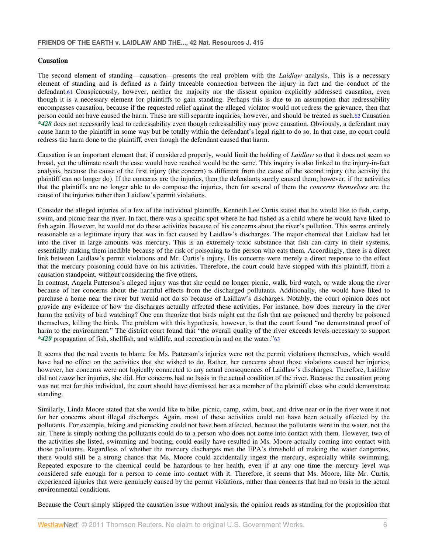### **Causation**

The second element of standing—causation—presents the real problem with the *Laidlaw* analysis. This is a necessary element of standing and is defined as a fairly traceable connection between the injury in fact and the conduct of the defendant.61 Conspicuously, however, neither the majority nor the dissent opinion explicitly addressed causation, even though it is a necessary element for plaintiffs to gain standing. Perhaps this is due to an assumption that redressability encompasses causation, because if the requested relief against the alleged violator would not redress the grievance, then that person could not have caused the harm. These are still separate inquiries, however, and should be treated as such.62 Causation *\*428* does not necessarily lead to redressability even though redressability may prove causation. Obviously, a defendant may cause harm to the plaintiff in some way but be totally within the defendant's legal right to do so. In that case, no court could redress the harm done to the plaintiff, even though the defendant caused that harm.

Causation is an important element that, if considered properly, would limit the holding of *Laidlaw* so that it does not seem so broad, yet the ultimate result the case would have reached would be the same. This inquiry is also linked to the injury-in-fact analysis, because the cause of the first injury (the concern) is different from the cause of the second injury (the activity the plaintiff can no longer do). If the concerns are the injuries, then the defendants surely caused them; however, if the activities that the plaintiffs are no longer able to do compose the injuries, then for several of them the *concerns themselves* are the cause of the injuries rather than Laidlaw's permit violations.

Consider the alleged injuries of a few of the individual plaintiffs. Kenneth Lee Curtis stated that he would like to fish, camp, swim, and picnic near the river. In fact, there was a specific spot where he had fished as a child where he would have liked to fish again. However, he would not do these activities because of his concerns about the river's pollution. This seems entirely reasonable as a legitimate injury that was in fact caused by Laidlaw's discharges. The major chemical that Laidlaw had let into the river in large amounts was mercury. This is an extremely toxic substance that fish can carry in their systems, essentially making them inedible because of the risk of poisoning to the person who eats them. Accordingly, there is a direct link between Laidlaw's permit violations and Mr. Curtis's injury. His concerns were merely a direct response to the effect that the mercury poisoning could have on his activities. Therefore, the court could have stopped with this plaintiff, from a causation standpoint, without considering the five others.

In contrast, Angela Patterson's alleged injury was that she could no longer picnic, walk, bird watch, or wade along the river because of her concerns about the harmful effects from the discharged pollutants. Additionally, she would have liked to purchase a home near the river but would not do so because of Laidlaw's discharges. Notably, the court opinion does not provide any evidence of how the discharges actually affected these activities. For instance, how does mercury in the river harm the activity of bird watching? One can theorize that birds might eat the fish that are poisoned and thereby be poisoned themselves, killing the birds. The problem with this hypothesis, however, is that the court found "no demonstrated proof of harm to the environment." The district court found that "the overall quality of the river exceeds levels necessary to support *\*429* propagation of fish, shellfish, and wildlife, and recreation in and on the water."<sup>63</sup>

It seems that the real events to blame for Ms. Patterson's injuries were not the permit violations themselves, which would have had no effect on the activities that she wished to do. Rather, her concerns about those violations caused her injuries; however, her concerns were not logically connected to any actual consequences of Laidlaw's discharges. Therefore, Laidlaw did not *cause* her injuries, she did. Her concerns had no basis in the actual condition of the river. Because the causation prong was not met for this individual, the court should have dismissed her as a member of the plaintiff class who could demonstrate standing.

Similarly, Linda Moore stated that she would like to hike, picnic, camp, swim, boat, and drive near or in the river were it not for her concerns about illegal discharges. Again, most of these activities could not have been actually affected by the pollutants. For example, hiking and picnicking could not have been affected, because the pollutants were in the water, not the air. There is simply nothing the pollutants could do to a person who does not come into contact with them. However, two of the activities she listed, swimming and boating, could easily have resulted in Ms. Moore actually coming into contact with those pollutants. Regardless of whether the mercury discharges met the EPA's threshold of making the water dangerous, there would still be a strong chance that Ms. Moore could accidentally ingest the mercury, especially while swimming. Repeated exposure to the chemical could be hazardous to her health, even if at any one time the mercury level was considered safe enough for a person to come into contact with it. Therefore, it seems that Ms. Moore, like Mr. Curtis, experienced injuries that were genuinely caused by the permit violations, rather than concerns that had no basis in the actual environmental conditions.

Because the Court simply skipped the causation issue without analysis, the opinion reads as standing for the proposition that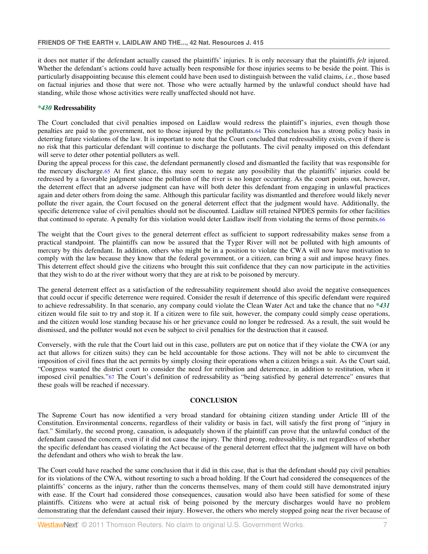it does not matter if the defendant actually caused the plaintiffs' injuries. It is only necessary that the plaintiffs *felt* injured. Whether the defendant's actions could have actually been responsible for those injuries seems to be beside the point. This is particularly disappointing because this element could have been used to distinguish between the valid claims, *i.e.*, those based on factual injuries and those that were not. Those who were actually harmed by the unlawful conduct should have had standing, while those whose activities were really unaffected should not have.

# *\*430* **Redressability**

The Court concluded that civil penalties imposed on Laidlaw would redress the plaintiff's injuries, even though those penalties are paid to the government, not to those injured by the pollutants.64 This conclusion has a strong policy basis in deterring future violations of the law. It is important to note that the Court concluded that redressability exists, even if there is no risk that this particular defendant will continue to discharge the pollutants. The civil penalty imposed on this defendant will serve to deter other potential polluters as well.

During the appeal process for this case, the defendant permanently closed and dismantled the facility that was responsible for the mercury discharge.65 At first glance, this may seem to negate any possibility that the plaintiffs' injuries could be redressed by a favorable judgment since the pollution of the river is no longer occurring. As the court points out, however, the deterrent effect that an adverse judgment can have will both deter this defendant from engaging in unlawful practices again and deter others from doing the same. Although this particular facility was dismantled and therefore would likely never pollute the river again, the Court focused on the general deterrent effect that the judgment would have. Additionally, the specific deterrence value of civil penalties should not be discounted. Laidlaw still retained NPDES permits for other facilities that continued to operate. A penalty for this violation would deter Laidlaw itself from violating the terms of those permits.66

The weight that the Court gives to the general deterrent effect as sufficient to support redressability makes sense from a practical standpoint. The plaintiffs can now be assured that the Tyger River will not be polluted with high amounts of mercury by this defendant. In addition, others who might be in a position to violate the CWA will now have motivation to comply with the law because they know that the federal government, or a citizen, can bring a suit and impose heavy fines. This deterrent effect should give the citizens who brought this suit confidence that they can now participate in the activities that they wish to do at the river without worry that they are at risk to be poisoned by mercury.

The general deterrent effect as a satisfaction of the redressability requirement should also avoid the negative consequences that could occur if specific deterrence were required. Consider the result if deterrence of this specific defendant were required to achieve redressability. In that scenario, any company could violate the Clean Water Act and take the chance that no *\*431* citizen would file suit to try and stop it. If a citizen were to file suit, however, the company could simply cease operations, and the citizen would lose standing because his or her grievance could no longer be redressed. As a result, the suit would be dismissed, and the polluter would not even be subject to civil penalties for the destruction that it caused.

Conversely, with the rule that the Court laid out in this case, polluters are put on notice that if they violate the CWA (or any act that allows for citizen suits) they can be held accountable for those actions. They will not be able to circumvent the imposition of civil fines that the act permits by simply closing their operations when a citizen brings a suit. As the Court said, "Congress wanted the district court to consider the need for retribution and deterrence, in addition to restitution, when it imposed civil penalties."67 The Court's definition of redressability as "being satisfied by general deterrence" ensures that these goals will be reached if necessary.

## **CONCLUSION**

The Supreme Court has now identified a very broad standard for obtaining citizen standing under Article III of the Constitution. Environmental concerns, regardless of their validity or basis in fact, will satisfy the first prong of "injury in fact." Similarly, the second prong, causation, is adequately shown if the plaintiff can prove that the unlawful conduct of the defendant caused the concern, even if it did not cause the injury. The third prong, redressability, is met regardless of whether the specific defendant has ceased violating the Act because of the general deterrent effect that the judgment will have on both the defendant and others who wish to break the law.

The Court could have reached the same conclusion that it did in this case, that is that the defendant should pay civil penalties for its violations of the CWA, without resorting to such a broad holding. If the Court had considered the consequences of the plaintiffs' concerns as the injury, rather than the concerns themselves, many of them could still have demonstrated injury with ease. If the Court had considered those consequences, causation would also have been satisfied for some of these plaintiffs. Citizens who were at actual risk of being poisoned by the mercury discharges would have no problem demonstrating that the defendant caused their injury. However, the others who merely stopped going near the river because of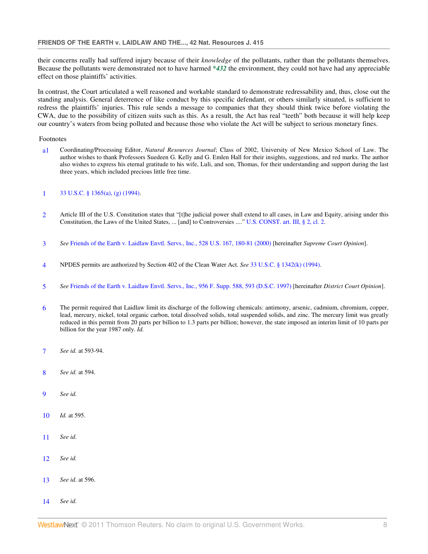their concerns really had suffered injury because of their *knowledge* of the pollutants, rather than the pollutants themselves. Because the pollutants were demonstrated not to have harmed *\*432* the environment, they could not have had any appreciable effect on those plaintiffs' activities.

In contrast, the Court articulated a well reasoned and workable standard to demonstrate redressability and, thus, close out the standing analysis. General deterrence of like conduct by this specific defendant, or others similarly situated, is sufficient to redress the plaintiffs' injuries. This rule sends a message to companies that they should think twice before violating the CWA, due to the possibility of citizen suits such as this. As a result, the Act has real "teeth" both because it will help keep our country's waters from being polluted and because those who violate the Act will be subject to serious monetary fines.

### Footnotes

a1 Coordinating/Processing Editor, *Natural Resources Journal*; Class of 2002, University of New Mexico School of Law. The author wishes to thank Professors Suedeen G. Kelly and G. Emlen Hall for their insights, suggestions, and red marks. The author also wishes to express his eternal gratitude to his wife, Luli, and son, Thomas, for their understanding and support during the last three years, which included precious little free time.

## 1 33 U.S.C. § 1365(a), (g) (1994).

- 2 Article III of the U.S. Constitution states that "[t]he judicial power shall extend to all cases, in Law and Equity, arising under this Constitution, the Laws of the United States, ... [and] to Controversies ...." U.S. CONST. art. III, § 2, cl. 2.
- 3 *See* Friends of the Earth v. Laidlaw Envtl. Servs., Inc., 528 U.S. 167, 180-81 (2000) [hereinafter *Supreme Court Opinion*].
- 4 NPDES permits are authorized by Section 402 of the Clean Water Act. *See* 33 U.S.C. § 1342(k) (1994).
- 5 *See* Friends of the Earth v. Laidlaw Envtl. Servs., Inc., 956 F. Supp. 588, 593 (D.S.C. 1997) [hereinafter *District Court Opinion*].
- 6 The permit required that Laidlaw limit its discharge of the following chemicals: antimony, arsenic, cadmium, chromium, copper, lead, mercury, nickel, total organic carbon, total dissolved solids, total suspended solids, and zinc. The mercury limit was greatly reduced in this permit from 20 parts per billion to 1.3 parts per billion; however, the state imposed an interim limit of 10 parts per billion for the year 1987 only. *Id.*
- 7 *See id.* at 593-94.
- 8 *See id.* at 594.
- 9 *See id.*
- 10 *Id.* at 595.
- 11 *See id.*
- 12 *See id.*
- 13 *See id.* at 596.
- 14 *See id.*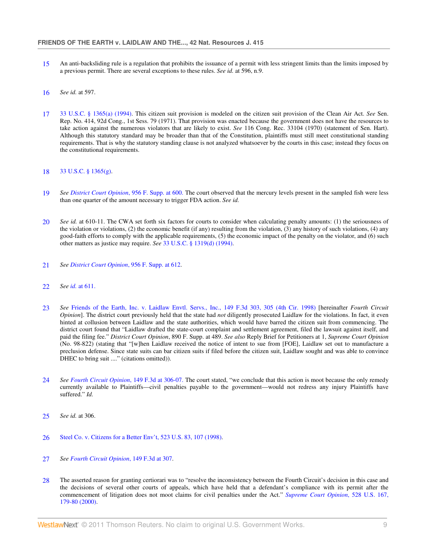- 15 An anti-backsliding rule is a regulation that prohibits the issuance of a permit with less stringent limits than the limits imposed by a previous permit. There are several exceptions to these rules. *See id.* at 596, n.9.
- 16 *See id.* at 597.
- 17 33 U.S.C. § 1365(a) (1994). This citizen suit provision is modeled on the citizen suit provision of the Clean Air Act. *See* Sen. Rep. No. 414, 92d Cong., 1st Sess. 79 (1971). That provision was enacted because the government does not have the resources to take action against the numerous violators that are likely to exist. *See* 116 Cong. Rec. 33104 (1970) (statement of Sen. Hart). Although this statutory standard may be broader than that of the Constitution, plaintiffs must still meet constitutional standing requirements. That is why the statutory standing clause is not analyzed whatsoever by the courts in this case; instead they focus on the constitutional requirements.

#### 18 33 U.S.C. § 1365(g).

- 19 *See District Court Opinion*, 956 F. Supp. at 600. The court observed that the mercury levels present in the sampled fish were less than one quarter of the amount necessary to trigger FDA action. *See id.*
- 20 *See id.* at 610-11. The CWA set forth six factors for courts to consider when calculating penalty amounts: (1) the seriousness of the violation or violations, (2) the economic benefit (if any) resulting from the violation, (3) any history of such violations, (4) any good-faith efforts to comply with the applicable requirements, (5) the economic impact of the penalty on the violator, and (6) such other matters as justice may require. *See* 33 U.S.C. § 1319(d) (1994).
- 21 *See District Court Opinion*, 956 F. Supp. at 612.
- 22 *See id.* at 611.
- 23 *See* Friends of the Earth, Inc. v. Laidlaw Envtl. Servs., Inc., 149 F.3d 303, 305 (4th Cir. 1998) [hereinafter *Fourth Circuit Opinion*]. The district court previously held that the state had *not* diligently prosecuted Laidlaw for the violations. In fact, it even hinted at collusion between Laidlaw and the state authorities, which would have barred the citizen suit from commencing. The district court found that "Laidlaw drafted the state-court complaint and settlement agreement, filed the lawsuit against itself, and paid the filing fee." *District Court Opinion*, 890 F. Supp. at 489. *See also* Reply Brief for Petitioners at 1, *Supreme Court Opinion* (No. 98-822) (stating that "[w]hen Laidlaw received the notice of intent to sue from [FOE], Laidlaw set out to manufacture a preclusion defense. Since state suits can bar citizen suits if filed before the citizen suit, Laidlaw sought and was able to convince DHEC to bring suit ...." (citations omitted)).
- 24 *See Fourth Circuit Opinion*, 149 F.3d at 306-07. The court stated, "we conclude that this action is moot because the only remedy currently available to Plaintiffs—civil penalties payable to the government—would not redress any injury Plaintiffs have suffered." *Id.*
- 25 *See id.* at 306.
- 26 Steel Co. v. Citizens for a Better Env't, 523 U.S. 83, 107 (1998).
- 27 *See Fourth Circuit Opinion*, 149 F.3d at 307.
- 28 The asserted reason for granting certiorari was to "resolve the inconsistency between the Fourth Circuit's decision in this case and the decisions of several other courts of appeals, which have held that a defendant's compliance with its permit after the commencement of litigation does not moot claims for civil penalties under the Act." *Supreme Court Opinion*, 528 U.S. 167, 179-80 (2000).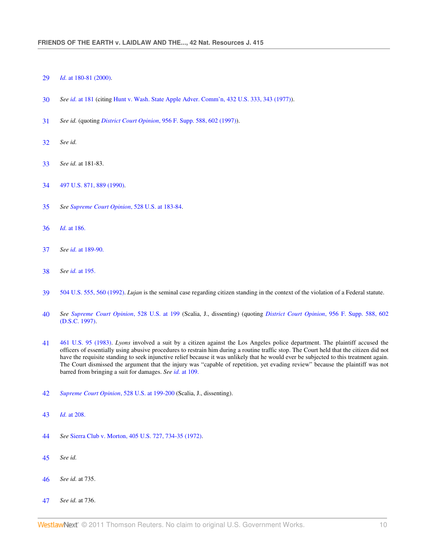- *Id.* at 180-81 (2000).
- *See id.* at 181 (citing Hunt v. Wash. State Apple Adver. Comm'n, 432 U.S. 333, 343 (1977)).
- *See id.* (quoting *District Court Opinion*, 956 F. Supp. 588, 602 (1997)).
- *See id.*
- *See id.* at 181-83.
- 497 U.S. 871, 889 (1990).
- *See Supreme Court Opinion*, 528 U.S. at 183-84.
- *Id.* at 186.
- *See id.* at 189-90.
- *See id.* at 195.
- 504 U.S. 555, 560 (1992). *Lujan* is the seminal case regarding citizen standing in the context of the violation of a Federal statute.
- *See Supreme Court Opinion*, 528 U.S. at 199 (Scalia, J., dissenting) (quoting *District Court Opinion*, 956 F. Supp. 588, 602 (D.S.C. 1997).
- 461 U.S. 95 (1983). *Lyons* involved a suit by a citizen against the Los Angeles police department. The plaintiff accused the officers of essentially using abusive procedures to restrain him during a routine traffic stop. The Court held that the citizen did not have the requisite standing to seek injunctive relief because it was unlikely that he would ever be subjected to this treatment again. The Court dismissed the argument that the injury was "capable of repetition, yet evading review" because the plaintiff was not barred from bringing a suit for damages. *See id.* at 109.
- *Supreme Court Opinion*, 528 U.S. at 199-200 (Scalia, J., dissenting).
- *Id.* at 208.
- *See* Sierra Club v. Morton, 405 U.S. 727, 734-35 (1972).
- *See id.*
- *See id.* at 735.
- *See id.* at 736.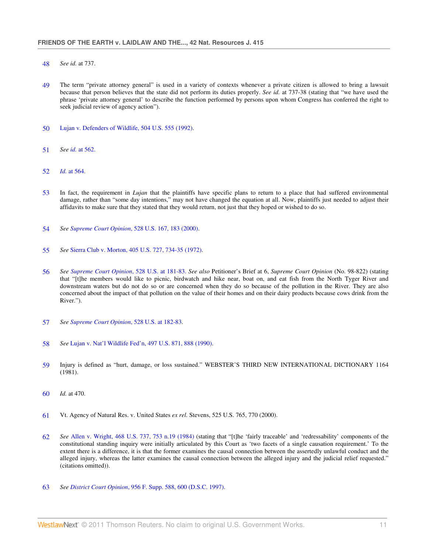- 48 *See id.* at 737.
- 49 The term "private attorney general" is used in a variety of contexts whenever a private citizen is allowed to bring a lawsuit because that person believes that the state did not perform its duties properly. *See id.* at 737-38 (stating that "we have used the phrase 'private attorney general' to describe the function performed by persons upon whom Congress has conferred the right to seek judicial review of agency action").
- 50 Lujan v. Defenders of Wildlife, 504 U.S. 555 (1992).
- 51 *See id.* at 562.
- 52 *Id.* at 564.
- 53 In fact, the requirement in *Lujan* that the plaintiffs have specific plans to return to a place that had suffered environmental damage, rather than "some day intentions," may not have changed the equation at all. Now, plaintiffs just needed to adjust their affidavits to make sure that they stated that they would return, not just that they hoped or wished to do so.
- 54 *See Supreme Court Opinion*, 528 U.S. 167, 183 (2000).
- 55 *See* Sierra Club v. Morton, 405 U.S. 727, 734-35 (1972).
- 56 *See Supreme Court Opinion*, 528 U.S. at 181-83. *See also* Petitioner's Brief at 6, *Supreme Court Opinion* (No. 98-822) (stating that "[t]he members would like to picnic, birdwatch and hike near, boat on, and eat fish from the North Tyger River and downstream waters but do not do so or are concerned when they do so because of the pollution in the River. They are also concerned about the impact of that pollution on the value of their homes and on their dairy products because cows drink from the River.").
- 57 *See Supreme Court Opinion*, 528 U.S. at 182-83.
- 58 *See* Lujan v. Nat'l Wildlife Fed'n, 497 U.S. 871, 888 (1990).
- 59 Injury is defined as "hurt, damage, or loss sustained." WEBSTER'S THIRD NEW INTERNATIONAL DICTIONARY 1164 (1981).
- 60 *Id.* at 470.
- 61 Vt. Agency of Natural Res. v. United States *ex rel.* Stevens, 525 U.S. 765, 770 (2000).
- 62 *See* Allen v. Wright, 468 U.S. 737, 753 n.19 (1984) (stating that "[t]he 'fairly traceable' and 'redressability' components of the constitutional standing inquiry were initially articulated by this Court as 'two facets of a single causation requirement.' To the extent there is a difference, it is that the former examines the causal connection between the assertedly unlawful conduct and the alleged injury, whereas the latter examines the causal connection between the alleged injury and the judicial relief requested." (citations omitted)).
- 63 *See District Court Opinion*, 956 F. Supp. 588, 600 (D.S.C. 1997).